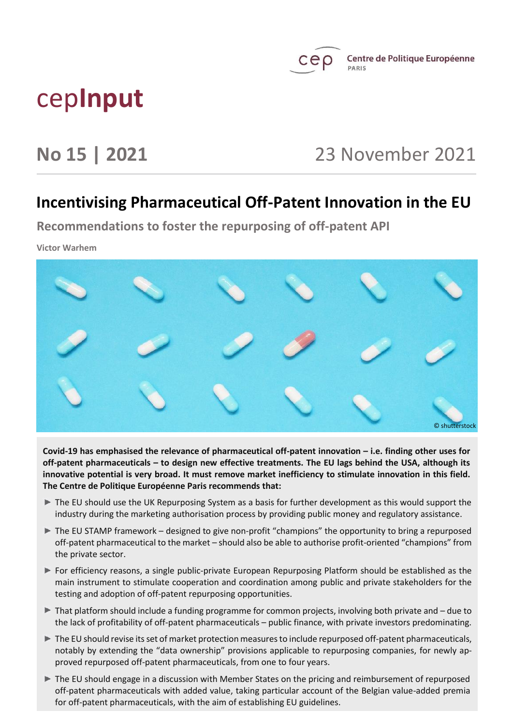

# cep**Input**

## **No 15 | 2021** 23 November 2021

### **Incentivising Pharmaceutical Off-Patent Innovation in the EU**

**Recommendations to foster the repurposing of off-patent API**

**Victor Warhem**



**Covid-19 has emphasised the relevance of pharmaceutical off-patent innovation – i.e. finding other uses for off-patent pharmaceuticals – to design new effective treatments. The EU lags behind the USA, although its innovative potential is very broad. It must remove market inefficiency to stimulate innovation in this field. The Centre de Politique Européenne Paris recommends that:**

- The EU should use the UK Repurposing System as a basis for further development as this would support the industry during the marketing authorisation process by providing public money and regulatory assistance.
- $\blacktriangleright$  The EU STAMP framework designed to give non-profit "champions" the opportunity to bring a repurposed off-patent pharmaceutical to the market – should also be able to authorise profit-oriented "champions" from the private sector.
- For efficiency reasons, a single public-private European Repurposing Platform should be established as the main instrument to stimulate cooperation and coordination among public and private stakeholders for the testing and adoption of off-patent repurposing opportunities.
- ▶ That platform should include a funding programme for common projects, involving both private and due to the lack of profitability of off-patent pharmaceuticals – public finance, with private investors predominating.
- The EU should revise its set of market protection measures to include repurposed off-patent pharmaceuticals, notably by extending the "data ownership" provisions applicable to repurposing companies, for newly approved repurposed off-patent pharmaceuticals, from one to four years.
- The EU should engage in a discussion with Member States on the pricing and reimbursement of repurposed off-patent pharmaceuticals with added value, taking particular account of the Belgian value-added premia for off-patent pharmaceuticals, with the aim of establishing EU guidelines.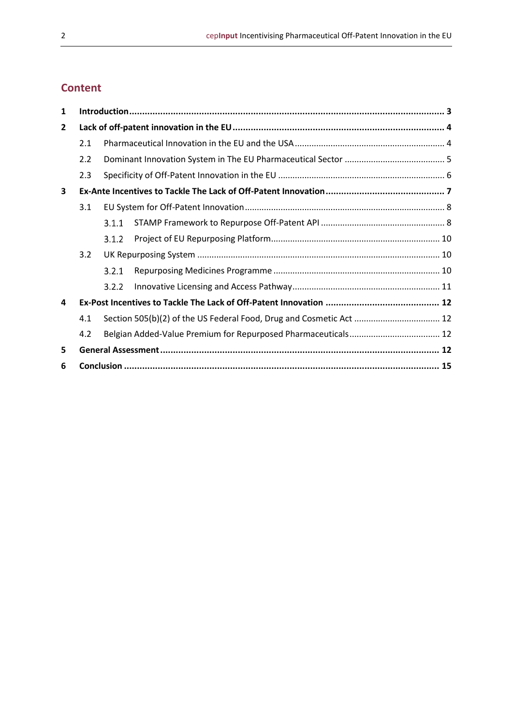### **Content**

| 1            |     |       |  |  |
|--------------|-----|-------|--|--|
| $\mathbf{2}$ |     |       |  |  |
|              | 2.1 |       |  |  |
|              | 2.2 |       |  |  |
|              | 2.3 |       |  |  |
| 3            |     |       |  |  |
|              | 3.1 |       |  |  |
|              |     | 3.1.1 |  |  |
|              |     | 3.1.2 |  |  |
|              | 3.2 |       |  |  |
|              |     | 3.2.1 |  |  |
|              |     | 3.2.2 |  |  |
| 4            |     |       |  |  |
|              | 4.1 |       |  |  |
|              | 4.2 |       |  |  |
| 5            |     |       |  |  |
| 6            |     |       |  |  |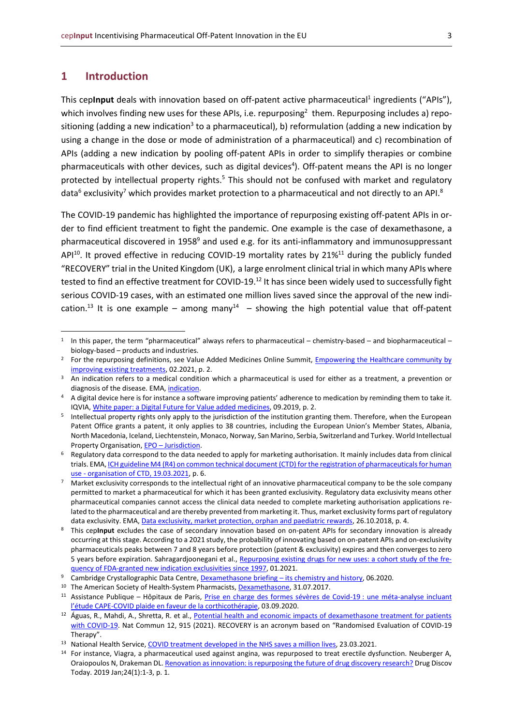#### <span id="page-2-0"></span>**1 Introduction**

This ceplnput deals with innovation based on off-patent active pharmaceutical<sup>1</sup> ingredients ("APIs"), which involves finding new uses for these APIs, i.e. repurposing<sup>2</sup> them. Repurposing includes a) repositioning (adding a new indication<sup>3</sup> to a pharmaceutical), b) reformulation (adding a new indication by using a change in the dose or mode of administration of a pharmaceutical) and c) recombination of APIs (adding a new indication by pooling off-patent APIs in order to simplify therapies or combine pharmaceuticals with other devices, such as digital devices<sup>4</sup>). Off-patent means the API is no longer protected by intellectual property rights.<sup>5</sup> This should not be confused with market and regulatory data $6$  exclusivity<sup>7</sup> which provides market protection to a pharmaceutical and not directly to an API. $8$ 

The COVID-19 pandemic has highlighted the importance of repurposing existing off-patent APIs in order to find efficient treatment to fight the pandemic. One example is the case of dexamethasone, a pharmaceutical discovered in 1958<sup>9</sup> and used e.g. for its anti-inflammatory and immunosuppressant API<sup>10</sup>. It proved effective in reducing COVID-19 mortality rates by 21%<sup>11</sup> during the publicly funded "RECOVERY" trial in the United Kingdom (UK), a large enrolment clinical trial in which many APIs where tested to find an effective treatment for COVID-19.<sup>12</sup> It has since been widely used to successfully fight serious COVID-19 cases, with an estimated one million lives saved since the approval of the new indication.<sup>13</sup> It is one example – among many<sup>14</sup> – showing the high potential value that off-patent

<sup>1</sup> In this paper, the term "pharmaceutical" always refers to pharmaceutical – chemistry-based – and biopharmaceutical – biology-based – products and industries.

<sup>&</sup>lt;sup>2</sup> For the repurposing definitions, see Value Added Medicines Online Summit, Empowering the Healthcare community by [improving existing treatments,](https://www.medicinesforeurope.com/events/vam2021/) 02.2021, p. 2.

<sup>&</sup>lt;sup>3</sup> An indication refers to a medical condition which a pharmaceutical is used for either as a treatment, a prevention or diagnosis of the disease. EMA, [indication.](https://www.ema.europa.eu/en/glossary/indication)

<sup>4</sup> A digital device here is for instance a software improving patients' adherence to medication by reminding them to take it. IQVIA[, White paper: a Digital Future for Value added medicines,](https://www.iqvia.com/-/media/iqvia/pdfs/nemea/white-papers/a-digital-future-for-value-added-medicines.pdf) 09.2019, p. 2.

<sup>5</sup> Intellectual property rights only apply to the jurisdiction of the institution granting them. Therefore, when the European Patent Office grants a patent, it only applies to 38 countries, including the European Union's Member States, Albania, North Macedonia, Iceland, Liechtenstein, Monaco, Norway, San Marino, Serbia, Switzerland and Turkey. World Intellectual Property Organisation, EPO – [Jurisdiction.](https://www.wipo.int/export/sites/www/patent_register_portal/en/docs/epo.pdf)

<sup>6</sup> Regulatory data correspond to the data needed to apply for marketing authorisation. It mainly includes data from clinical trials. EMA, ICH guideline M4 (R4) on common technical document (CTD) for the registration of pharmaceuticals for human use - [organisation of CTD, 19.03.2021,](https://www.ema.europa.eu/en/documents/scientific-guideline/ich-guideline-m4-r4-common-technical-document-ctd-registration-pharmaceuticals-human-use_en.pdf) p. 6.

<sup>7</sup> Market exclusivity corresponds to the intellectual right of an innovative pharmaceutical company to be the sole company permitted to market a pharmaceutical for which it has been granted exclusivity. Regulatory data exclusivity means other pharmaceutical companies cannot access the clinical data needed to complete marketing authorisation applications related to the pharmaceutical and are thereby prevented from marketing it. Thus, market exclusivity forms part of regulatory data exclusivity. EMA[, Data exclusivity, market protection, orphan and paediatric rewards,](https://www.ema.europa.eu/en/documents/presentation/presentation-data-exclusivity-market-protection-orphan-paediatric-rewards-s-ribeiro_en.pdf) 26.10.2018, p. 4.

<sup>8</sup> This cep**Input** excludes the case of secondary innovation based on on-patent APIs for secondary innovation is already occurring at this stage. According to a 2021 study, the probability of innovating based on on-patent APIs and on-exclusivity pharmaceuticals peaks between 7 and 8 years before protection (patent & exclusivity) expires and then converges to zero 5 years before expiration. Sahragardjoonegani et al., [Repurposing existing drugs for new uses: a cohort study of the fre](https://pubmed.ncbi.nlm.nih.gov/33397471/)[quency of FDA-granted new indication exclusivities](https://pubmed.ncbi.nlm.nih.gov/33397471/) since 1997, 01.2021.

Cambridge Crystallographic Data Centre, [Dexamethasone briefing](https://www.ccdc.cam.ac.uk/Community/blog/dexamethasone/) – its chemistry and history, 06.2020.

<sup>10</sup> The American Society of Health-System Pharmacists[, Dexamethasone,](https://web.archive.org/web/20170831175940/https:/www.drugs.com/monograph/dexamethasone.html) 31.07.2017.

<sup>&</sup>lt;sup>11</sup> Assistance Publique – Hôpitaux de Paris, [Prise en charge des formes sévères de Covid-19](https://www.aphp.fr/contenu/prise-en-charge-des-formes-severes-de-covid-19-une-meta-analyse-incluant-letude-cape-covid) : une méta-analyse incluant l'étude CAPE[-COVID plaide en faveur de la corthicothérapie,](https://www.aphp.fr/contenu/prise-en-charge-des-formes-severes-de-covid-19-une-meta-analyse-incluant-letude-cape-covid) 03.09.2020.

<sup>&</sup>lt;sup>12</sup> Águas, R., Mahdi, A., Shretta, R. et al., Potential health and economic impacts of dexamethasone treatment for patients [with COVID-19.](https://www.nature.com/articles/s41467-021-21134-2) Nat Commun 12, 915 (2021). RECOVERY is an acronym based on "Randomised Evaluation of COVID-19 Therapy".

<sup>&</sup>lt;sup>13</sup> National Health Service, [COVID treatment developed in the NHS saves a million lives,](https://www.england.nhs.uk/2021/03/covid-treatment-developed-in-the-nhs-saves-a-million-lives/) 23.03.2021.

<sup>14</sup> For instance, Viagra, a pharmaceutical used against angina, was repurposed to treat erectile dysfunction. Neuberger A, Oraiopoulos N, Drakeman DL[. Renovation as innovation: is repurposing the future of drug discovery research?](https://pubmed.ncbi.nlm.nih.gov/29936247/) Drug Discov Today. 2019 Jan;24(1):1-3, p. 1.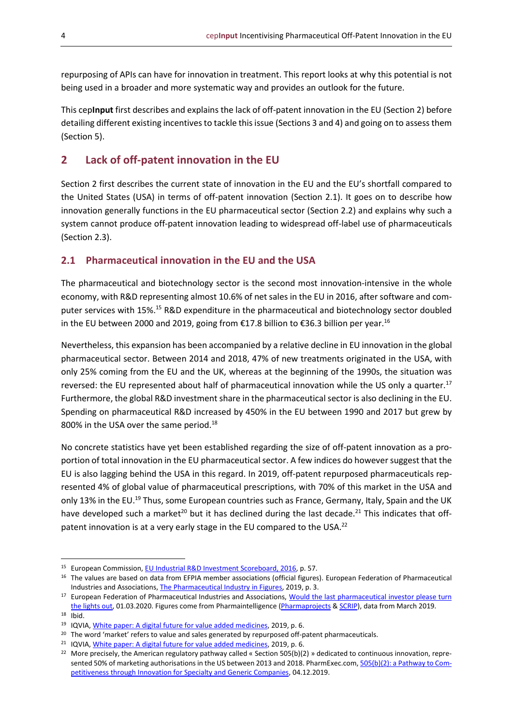repurposing of APIs can have for innovation in treatment. This report looks at why this potential is not being used in a broader and more systematic way and provides an outlook for the future.

This cep**Input** first describes and explains the lack of off-patent innovation in the EU (Section 2) before detailing different existing incentives to tackle this issue (Sections 3 and 4) and going on to assess them (Section 5).

### <span id="page-3-0"></span>**2 Lack of off-patent innovation in the EU**

Section 2 first describes the current state of innovation in the EU and the EU's shortfall compared to the United States (USA) in terms of off-patent innovation (Section 2.1). It goes on to describe how innovation generally functions in the EU pharmaceutical sector (Section 2.2) and explains why such a system cannot produce off-patent innovation leading to widespread off-label use of pharmaceuticals (Section 2.3).

#### <span id="page-3-1"></span>**2.1 Pharmaceutical innovation in the EU and the USA**

The pharmaceutical and biotechnology sector is the second most innovation-intensive in the whole economy, with R&D representing almost 10.6% of net sales in the EU in 2016, after software and computer services with 15%.<sup>15</sup> R&D expenditure in the pharmaceutical and biotechnology sector doubled in the EU between 2000 and 2019, going from €17.8 billion to €36.3 billion per year.<sup>16</sup>

Nevertheless, this expansion has been accompanied by a relative decline in EU innovation in the global pharmaceutical sector. Between 2014 and 2018, 47% of new treatments originated in the USA, with only 25% coming from the EU and the UK, whereas at the beginning of the 1990s, the situation was reversed: the EU represented about half of pharmaceutical innovation while the US only a quarter.<sup>17</sup> Furthermore, the global R&D investment share in the pharmaceutical sector is also declining in the EU. Spending on pharmaceutical R&D increased by 450% in the EU between 1990 and 2017 but grew by 800% in the USA over the same period.<sup>18</sup>

No concrete statistics have yet been established regarding the size of off-patent innovation as a proportion of total innovation in the EU pharmaceutical sector. A few indices do however suggest that the EU is also lagging behind the USA in this regard. In 2019, off-patent repurposed pharmaceuticals represented 4% of global value of pharmaceutical prescriptions, with 70% of this market in the USA and only 13% in the EU.<sup>19</sup> Thus, some European countries such as France, Germany, Italy, Spain and the UK have developed such a market<sup>20</sup> but it has declined during the last decade.<sup>21</sup> This indicates that offpatent innovation is at a very early stage in the EU compared to the USA.<sup>22</sup>

<sup>21</sup> IQVIA, [White paper: A digital future for value added medicines,](https://www.iqvia.com/-/media/iqvia/pdfs/nemea/white-papers/a-digital-future-for-value-added-medicines.pdf) 2019, p. 6.

<sup>&</sup>lt;sup>15</sup> European Commission, **EU Industrial R&D Investment Scoreboard, 2016, p. 57.** 

<sup>&</sup>lt;sup>16</sup> The values are based on data from EFPIA member associations (official figures). European Federation of Pharmaceutical Industries and Associations, [The Pharmaceutical Industry in Figures,](https://www.efpia.eu/media/413006/the-pharmaceutical-industry-in-figures.pdf) 2019, p. 3.

<sup>&</sup>lt;sup>17</sup> European Federation of Pharmaceutical Industries and Associations, Would the last pharmaceutical investor please turn [the lights out,](https://www.efpia.eu/news-events/the-efpia-view/blog-articles/would-the-last-pharmaceutical-investor-in-europe-please-turn-the-lights-out/) 01.03.2020. Figures come from Pharmaintelligence [\(Pharmaprojects](https://pharmaintelligence.informa.com/products-and-services/data-and-analysis/pharmaprojects) [& SCRIP\)](https://scrip.pharmaintelligence.informa.com/), data from March 2019.

<sup>18</sup> Ibid.

<sup>19</sup> IQVIA[, White paper: A digital future for value added medicines,](https://www.iqvia.com/-/media/iqvia/pdfs/nemea/white-papers/a-digital-future-for-value-added-medicines.pdf) 2019, p. 6.

<sup>&</sup>lt;sup>20</sup> The word 'market' refers to value and sales generated by repurposed off-patent pharmaceuticals.

<sup>&</sup>lt;sup>22</sup> More precisely, the American regulatory pathway called « Section 505(b)(2) » dedicated to continuous innovation, repre-sented 50% of marketing authorisations in the US between 2013 and 2018. PharmExec.com[, 505\(b\)\(2\): a Pathway to Com](https://www.pharmexec.com/view/505b2-pathway-competitiveness-through-innovation-specialty-and-generic-companies)[petitiveness through Innovation for Specialty and Generic Companies,](https://www.pharmexec.com/view/505b2-pathway-competitiveness-through-innovation-specialty-and-generic-companies) 04.12.2019.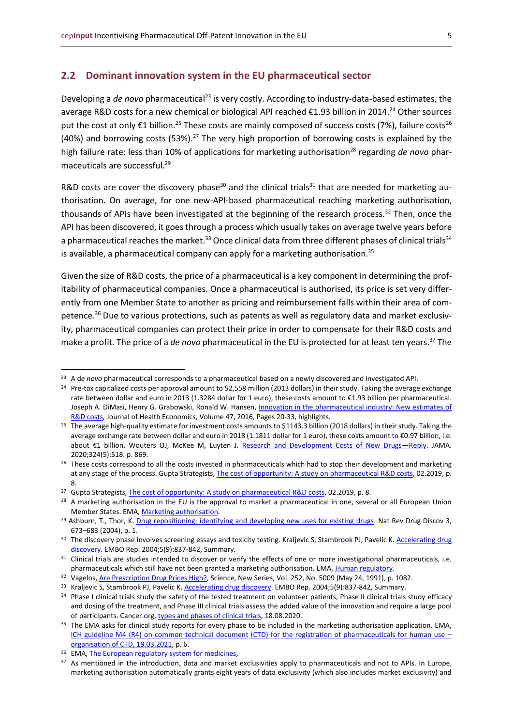#### <span id="page-4-0"></span>**2.2 Dominant innovation system in the EU pharmaceutical sector**

Developing a *de novo* pharmaceutical<sup>23</sup> is very costly. According to industry-data-based estimates, the average R&D costs for a new chemical or biological API reached €1.93 billion in 2014.<sup>24</sup> Other sources put the cost at only €1 billion.<sup>25</sup> These costs are mainly composed of success costs (7%), failure costs<sup>26</sup> (40%) and borrowing costs (53%).<sup>27</sup> The very high proportion of borrowing costs is explained by the high failure rate: less than 10% of applications for marketing authorisation<sup>28</sup> regarding *de novo* pharmaceuticals are successful.<sup>29</sup>

R&D costs are cover the discovery phase<sup>30</sup> and the clinical trials<sup>31</sup> that are needed for marketing authorisation. On average, for one new-API-based pharmaceutical reaching marketing authorisation, thousands of APIs have been investigated at the beginning of the research process.<sup>32</sup> Then, once the API has been discovered, it goes through a process which usually takes on average twelve years before a pharmaceutical reaches the market.<sup>33</sup> Once clinical data from three different phases of clinical trials<sup>34</sup> is available, a pharmaceutical company can apply for a marketing authorisation.<sup>35</sup>

Given the size of R&D costs, the price of a pharmaceutical is a key component in determining the profitability of pharmaceutical companies. Once a pharmaceutical is authorised, its price is set very differently from one Member State to another as pricing and reimbursement falls within their area of competence. <sup>36</sup> Due to various protections, such as patents as well as regulatory data and market exclusivity, pharmaceutical companies can protect their price in order to compensate for their R&D costs and make a profit. The price of a *de novo* pharmaceutical in the EU is protected for at least ten years. <sup>37</sup> The

<sup>23</sup> A d*e novo* pharmaceutical corresponds to a pharmaceutical based on a newly discovered and investigated API.

<sup>&</sup>lt;sup>24</sup> Pre-tax capitalized costs per approval amount to \$2,558 million (2013 dollars) in their study. Taking the average exchange rate between dollar and euro in 2013 (1.3284 dollar for 1 euro), these costs amount to €1.93 billion per pharmaceutical. Joseph A. DiMasi, Henry G. Grabowski, Ronald W. Hansen, Innovation in the pharmaceutical industry: New estimates of [R&D costs,](https://www.sciencedirect.com/science/article/abs/pii/S0167629616000291) Journal of Health Economics, Volume 47, 2016, Pages 20-33, highlights.

<sup>&</sup>lt;sup>25</sup> The average high-quality estimate for investment costs amounts to \$1143.3 billion (2018 dollars) in their study. Taking the average exchange rate between dollar and euro in 2018 (1.1811 dollar for 1 euro), these costs amount to €0.97 billion, i.e. about €1 billion. Wouters OJ, McKee M, Luyten J. [Research and Development Costs of New Drugs](https://jamanetwork.com/journals/jama/article-abstract/2768973)-Reply. JAMA. 2020;324(5):518. p. 869.

<sup>&</sup>lt;sup>26</sup> These costs correspond to all the costs invested in pharmaceuticals which had to stop their development and marketing at any stage of the process. Gupta Strategists, [The cost of opportunity: A study on pharmaceutical R&D costs,](https://gupta-strategists.nl/storage/files/The-cost-of-opportunity-Gupta-Strategists.pdf) 02.2019, p. 8.

<sup>&</sup>lt;sup>27</sup> Gupta Strategists[, The cost of opportunity: A study on pharmaceutical R&D costs,](https://gupta-strategists.nl/storage/files/The-cost-of-opportunity-Gupta-Strategists.pdf) 02.2019, p. 8.

<sup>&</sup>lt;sup>28</sup> A marketing authorisation in the EU is the approval to market a pharmaceutical in one, several or all European Union Member States. EMA[, Marketing authorisation.](https://www.ema.europa.eu/en/glossary/marketing-authorisation)

<sup>&</sup>lt;sup>29</sup> Ashburn, T., Thor, K. [Drug repositioning: identifying and developing new uses for existing drugs.](https://www.nature.com/articles/nrd1468) Nat Rev Drug Discov 3, 673–683 (2004), p. 1.

<sup>30</sup> The discovery phase involves screening essays and toxicity testing. Kraljevic S, Stambrook PJ, Pavelic K. Accelerating drug [discovery.](https://www.ncbi.nlm.nih.gov/pmc/articles/PMC1299137/) EMBO Rep. 2004;5(9):837-842, Summary.

<sup>&</sup>lt;sup>31</sup> Clinical trials are studies intended to discover or verify the effects of one or more investigational pharmaceuticals, i.e. pharmaceuticals which still have not been granted a marketing authorisation. EMA, [Human regulatory.](https://www.ema.europa.eu/en/human-regulatory/research-development/clinical-trials-human-medicines)

<sup>&</sup>lt;sup>32</sup> Vagelos[, Are Prescription Drug Prices High?,](https://www.jstor.org/stable/2876283) Science, New Series, Vol. 252, No. 5009 (May 24, 1991), p. 1082.

<sup>&</sup>lt;sup>33</sup> Kraljevic S, Stambrook PJ, Pavelic K. [Accelerating drug discovery.](https://www.ncbi.nlm.nih.gov/pmc/articles/PMC1299137/) EMBO Rep. 2004;5(9):837-842, Summary.

<sup>34</sup> Phase I clinical trials study the safety of the tested treatment on volunteer patients, Phase II clinical trials study efficacy and dosing of the treatment, and Phase III clinical trials assess the added value of the innovation and require a large pool of participants. Cancer.org[, types and phases of clinical trials,](https://www.cancer.org/treatment/treatments-and-side-effects/clinical-trials/what-you-need-to-know/phases-of-clinical-trials.html) 18.08.2020.

<sup>&</sup>lt;sup>35</sup> The EMA asks for clinical study reports for every phase to be included in the marketing authorisation application. EMA, [ICH guideline M4 \(R4\) on common technical document \(CTD\) for the registration of pharmaceuticals for human use](https://www.ema.europa.eu/en/documents/scientific-guideline/ich-guideline-m4-r4-common-technical-document-ctd-registration-pharmaceuticals-human-use_en.pdf)  $$ [organisation of CTD, 19.03.2021,](https://www.ema.europa.eu/en/documents/scientific-guideline/ich-guideline-m4-r4-common-technical-document-ctd-registration-pharmaceuticals-human-use_en.pdf) p. 6.

<sup>&</sup>lt;sup>36</sup> EMA, **The European regulatory system for medicines**,

<sup>&</sup>lt;sup>37</sup> As mentioned in the introduction, data and market exclusivities apply to pharmaceuticals and not to APIs. In Europe, marketing authorisation automatically grants eight years of data exclusivity (which also includes market exclusivity) and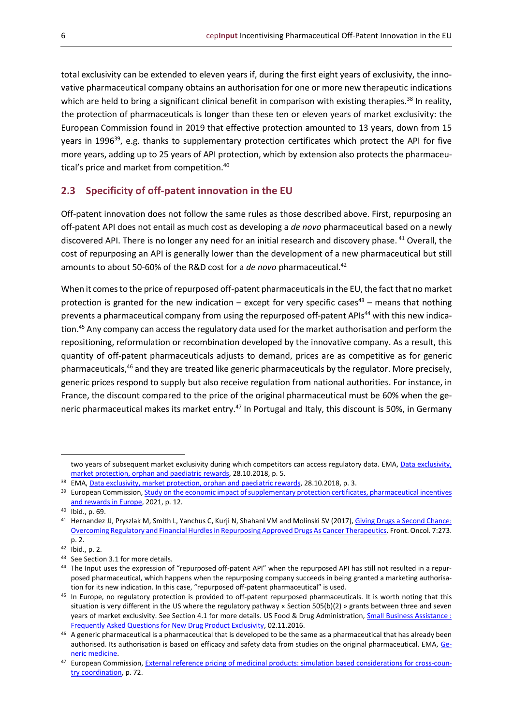total exclusivity can be extended to eleven years if, during the first eight years of exclusivity, the innovative pharmaceutical company obtains an authorisation for one or more new therapeutic indications which are held to bring a significant clinical benefit in comparison with existing therapies.<sup>38</sup> In reality, the protection of pharmaceuticals is longer than these ten or eleven years of market exclusivity: the European Commission found in 2019 that effective protection amounted to 13 years, down from 15 years in 1996<sup>39</sup>, e.g. thanks to supplementary protection certificates which protect the API for five more years, adding up to 25 years of API protection, which by extension also protects the pharmaceutical's price and market from competition. 40

#### <span id="page-5-0"></span>**2.3 Specificity of off-patent innovation in the EU**

Off-patent innovation does not follow the same rules as those described above. First, repurposing an off-patent API does not entail as much cost as developing a *de novo* pharmaceutical based on a newly discovered API. There is no longer any need for an initial research and discovery phase. <sup>41</sup> Overall, the cost of repurposing an API is generally lower than the development of a new pharmaceutical but still amounts to about 50-60% of the R&D cost for a *de novo* pharmaceutical. 42

When it comes to the price of repurposed off-patent pharmaceuticals in the EU, the fact that no market protection is granted for the new indication – except for very specific cases<sup>43</sup> – means that nothing prevents a pharmaceutical company from using the repurposed off-patent APIs<sup>44</sup> with this new indication. <sup>45</sup> Any company can access the regulatory data used for the market authorisation and perform the repositioning, reformulation or recombination developed by the innovative company. As a result, this quantity of off-patent pharmaceuticals adjusts to demand, prices are as competitive as for generic pharmaceuticals,<sup>46</sup> and they are treated like generic pharmaceuticals by the regulator. More precisely, generic prices respond to supply but also receive regulation from national authorities. For instance, in France, the discount compared to the price of the original pharmaceutical must be 60% when the generic pharmaceutical makes its market entry.<sup>47</sup> In Portugal and Italy, this discount is 50%, in Germany

two years of subsequent market exclusivity during which competitors can access regulatory data. EMA, Data exclusivity, [market protection, orphan and paediatric](https://www.ema.europa.eu/en/documents/presentation/presentation-data-exclusivity-market-protection-orphan-paediatric-rewards-s-ribeiro_en.pdf) rewards, 28.10.2018, p. 5.

<sup>&</sup>lt;sup>38</sup> EMA, Data exclusivity, market [protection, orphan and paediatric rewards,](https://www.ema.europa.eu/en/documents/presentation/presentation-data-exclusivity-market-protection-orphan-paediatric-rewards-s-ribeiro_en.pdf) 28.10.2018, p. 3.

<sup>&</sup>lt;sup>39</sup> European Commission, Study on the economic impact of supplementary protection certificates, pharmaceutical incentives [and rewards in Europe,](https://ec.europa.eu/health/sites/default/files/human-use/docs/pharmaceuticals_incentives_study_en.pdf) 2021, p. 12.

<sup>40</sup> Ibid., p. 69.

<sup>41</sup> Hernandez JJ, Pryszlak M, Smith L, Yanchus C, Kurji N, Shahani VM and Molinski SV (2017), Giving Drugs a Second Chance: [Overcoming Regulatory and Financial Hurdles in Repurposing Approved Drugs As Cancer Therapeutics.](https://www.ncbi.nlm.nih.gov/pmc/articles/PMC5694537/pdf/fonc-07-00273.pdf) Front. Oncol. 7:273. p. 2.

<sup>42</sup> Ibid., p. 2.

<sup>43</sup> See Section 3.1 for more details.

<sup>44</sup> The Input uses the expression of "repurposed off-patent API" when the repurposed API has still not resulted in a repurposed pharmaceutical, which happens when the repurposing company succeeds in being granted a marketing authorisation for its new indication. In this case, "repurposed off-patent pharmaceutical" is used.

<sup>&</sup>lt;sup>45</sup> In Europe, no regulatory protection is provided to off-patent repurposed pharmaceuticals. It is worth noting that this situation is very different in the US where the regulatory pathway « Section 505(b)(2) » grants between three and seven years of market exclusivity. See Section 4.1 for more details. US Food & Drug Administration, [Small Business Assistance](https://www.fda.gov/drugs/cder-small-business-industry-assistance-sbia/small-business-assistance-frequently-asked-questions-new-drug-product-exclusivity): [Frequently Asked Questions for New Drug Product Exclusivity,](https://www.fda.gov/drugs/cder-small-business-industry-assistance-sbia/small-business-assistance-frequently-asked-questions-new-drug-product-exclusivity) 02.11.2016.

<sup>46</sup> A generic pharmaceutical is a pharmaceutical that is developed to be the same as a pharmaceutical that has already been authorised. Its authorisation is based on efficacy and safety data from studies on the original pharmaceutical. EMA, [Ge](https://www.ema.europa.eu/en/glossary/generic-medicine)[neric medicine.](https://www.ema.europa.eu/en/glossary/generic-medicine)

<sup>47</sup> European Commission[, External reference pricing of medicinal products: simulation](https://ec.europa.eu/health/sites/default/files/healthcare/docs/erp_reimbursement_medicinal_products_en.pdf) based considerations for cross-coun[try coordination,](https://ec.europa.eu/health/sites/default/files/healthcare/docs/erp_reimbursement_medicinal_products_en.pdf) p. 72.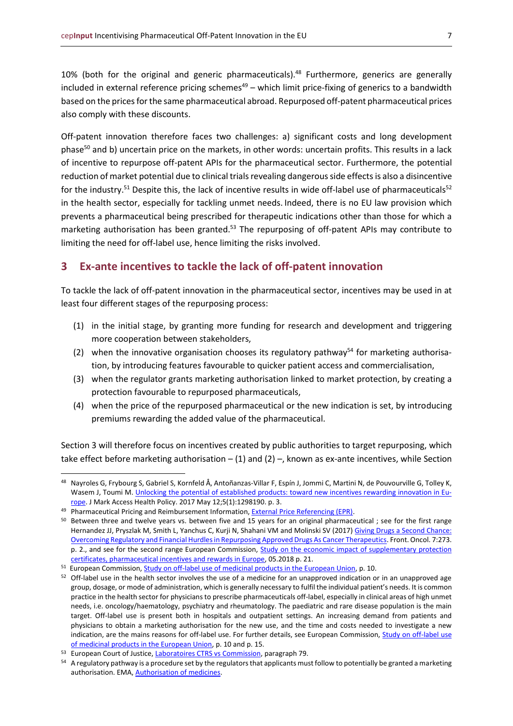10% (both for the original and generic pharmaceuticals).<sup>48</sup> Furthermore, generics are generally included in external reference pricing schemes $49 -$  which limit price-fixing of generics to a bandwidth based on the prices for the same pharmaceutical abroad. Repurposed off-patent pharmaceutical prices also comply with these discounts.

Off-patent innovation therefore faces two challenges: a) significant costs and long development phase<sup>50</sup> and b) uncertain price on the markets, in other words: uncertain profits. This results in a lack of incentive to repurpose off-patent APIs for the pharmaceutical sector. Furthermore, the potential reduction of market potential due to clinical trials revealing dangerous side effects is also a disincentive for the industry.<sup>51</sup> Despite this, the lack of incentive results in wide off-label use of pharmaceuticals<sup>52</sup> in the health sector, especially for tackling unmet needs. Indeed, there is no EU law provision which prevents a pharmaceutical being prescribed for therapeutic indications other than those for which a marketing authorisation has been granted.<sup>53</sup> The repurposing of off-patent APIs may contribute to limiting the need for off-label use, hence limiting the risks involved.

#### <span id="page-6-0"></span>**3 Ex-ante incentives to tackle the lack of off-patent innovation**

To tackle the lack of off-patent innovation in the pharmaceutical sector, incentives may be used in at least four different stages of the repurposing process:

- (1) in the initial stage, by granting more funding for research and development and triggering more cooperation between stakeholders,
- (2) when the innovative organisation chooses its regulatory pathway<sup>54</sup> for marketing authorisation, by introducing features favourable to quicker patient access and commercialisation,
- (3) when the regulator grants marketing authorisation linked to market protection, by creating a protection favourable to repurposed pharmaceuticals,
- (4) when the price of the repurposed pharmaceutical or the new indication is set, by introducing premiums rewarding the added value of the pharmaceutical.

Section 3 will therefore focus on incentives created by public authorities to target repurposing, which take effect before marketing authorisation  $- (1)$  and  $(2)$  –, known as ex-ante incentives, while Section

<sup>48</sup> Nayroles G, Frybourg S, Gabriel S, Kornfeld Å, Antoñanzas-Villar F, Espín J, Jommi C, Martini N, de Pouvourville G, Tolley K, Wasem J, Toumi M. [Unlocking the potential of established products: toward new incentives rewarding innovation in Eu](https://pubmed.ncbi.nlm.nih.gov/28740616/)[rope.](https://pubmed.ncbi.nlm.nih.gov/28740616/) J Mark Access Health Policy. 2017 May 12;5(1):1298190. p. 3.

<sup>&</sup>lt;sup>49</sup> Pharmaceutical Pricing and Reimbursement Information, External Price Referencing (EPR).

<sup>&</sup>lt;sup>50</sup> Between three and twelve years vs. between five and 15 years for an original pharmaceutical ; see for the first range Hernandez JJ, Pryszlak M, Smith L, Yanchus C, Kurji N, Shahani VM and Molinski SV (2017[\) Giving Drugs a Second Chance:](https://www.ncbi.nlm.nih.gov/pmc/articles/PMC5694537/pdf/fonc-07-00273.pdf)  [Overcoming Regulatory and Financial Hurdles in Repurposing Approved Drugs As Cancer Therapeutics.](https://www.ncbi.nlm.nih.gov/pmc/articles/PMC5694537/pdf/fonc-07-00273.pdf) Front. Oncol. 7:273. p. 2., and see for the second range European Commission, Study on the economic impact of supplementary protection [certificates, pharmaceutical incentives and rewards in Europe,](https://ec.europa.eu/health/sites/default/files/human-use/docs/pharmaceuticals_incentives_study_en.pdf) 05.2018 p. 21.

<sup>&</sup>lt;sup>51</sup> European Commission, <u>Study on off-label use of medicinal products in the European Union</u>, p. 10.

<sup>&</sup>lt;sup>52</sup> Off-label use in the health sector involves the use of a medicine for an unapproved indication or in an unapproved age group, dosage, or mode of administration, which is generally necessary to fulfil the individual patient's needs. It is common practice in the health sector for physicians to prescribe pharmaceuticals off-label, especially in clinical areas of high unmet needs, i.e. oncology/haematology, psychiatry and rheumatology. The paediatric and rare disease population is the main target. Off-label use is present both in hospitals and outpatient settings. An increasing demand from patients and physicians to obtain a marketing authorisation for the new use, and the time and costs needed to investigate a new indication, are the mains reasons for off-label use. For further details, see European Commission, Study on off-label use [of medicinal products in the European Union,](https://ec.europa.eu/health/sites/default/files/files/documents/2017_02_28_final_study_report_on_off-label_use_.pdf) p. 10 and p. 15.

<sup>&</sup>lt;sup>53</sup> European Court of Justice, [Laboratoires CTRS vs Commission,](https://eur-lex.europa.eu/legal-content/FR/TXT/?uri=CELEX%3A62012TJ0301) paragraph 79.

<sup>54</sup> A regulatory pathway is a procedure set by the regulators that applicants must follow to potentially be granted a marketing authorisation. EMA[, Authorisation of medicines.](https://www.ema.europa.eu/en/about-us/what-we-do/authorisation-medicines)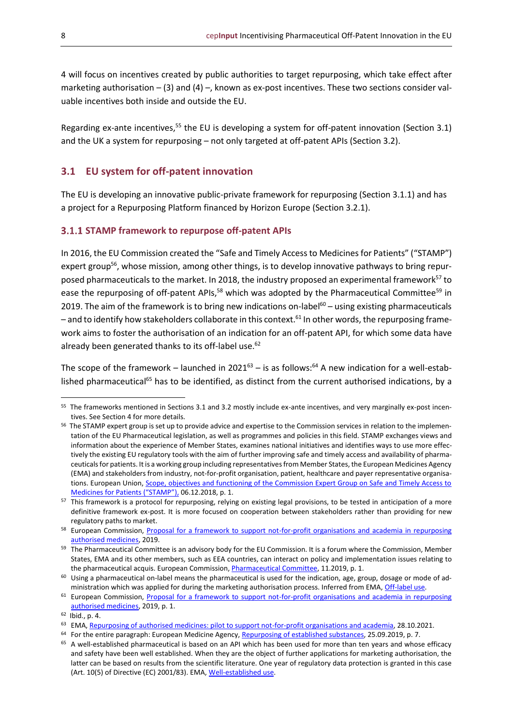4 will focus on incentives created by public authorities to target repurposing, which take effect after marketing authorisation  $-$  (3) and (4)  $-$ , known as ex-post incentives. These two sections consider valuable incentives both inside and outside the EU.

Regarding ex-ante incentives,<sup>55</sup> the EU is developing a system for off-patent innovation (Section 3.1) and the UK a system for repurposing – not only targeted at off-patent APIs (Section 3.2).

#### <span id="page-7-0"></span>**3.1 EU system for off-patent innovation**

The EU is developing an innovative public-private framework for repurposing (Section 3.1.1) and has a project for a Repurposing Platform financed by Horizon Europe (Section 3.2.1).

#### <span id="page-7-1"></span>**STAMP framework to repurpose off-patent APIs**

In 2016, the EU Commission created the "Safe and Timely Access to Medicines for Patients" ("STAMP") expert group<sup>56</sup>, whose mission, among other things, is to develop innovative pathways to bring repurposed pharmaceuticals to the market. In 2018, the industry proposed an experimental framework<sup>57</sup> to ease the repurposing of off-patent APIs,<sup>58</sup> which was adopted by the Pharmaceutical Committee<sup>59</sup> in 2019. The aim of the framework is to bring new indications on-label $60 -$  using existing pharmaceuticals – and to identify how stakeholders collaborate in this context. <sup>61</sup> In other words, the repurposing framework aims to foster the authorisation of an indication for an off-patent API, for which some data have already been generated thanks to its off-label use.<sup>62</sup>

The scope of the framework – launched in 2021 $^{63}$  – is as follows:<sup>64</sup> A new indication for a well-established pharmaceutical<sup>65</sup> has to be identified, as distinct from the current authorised indications, by a

<sup>&</sup>lt;sup>55</sup> The frameworks mentioned in Sections 3.1 and 3.2 mostly include ex-ante incentives, and very marginally ex-post incentives. See Section 4 for more details.

<sup>&</sup>lt;sup>56</sup> The STAMP expert group is set up to provide advice and expertise to the Commission services in relation to the implementation of the EU Pharmaceutical legislation, as well as programmes and policies in this field. STAMP exchanges views and information about the experience of Member States, examines national initiatives and identifies ways to use more effectively the existing EU regulatory tools with the aim of further improving safe and timely access and availability of pharmaceuticals for patients. It is a working group including representatives from Member States, the European Medicines Agency (EMA) and stakeholders from industry, not-for-profit organisation, patient, healthcare and payer representative organisations. European Union, Scope, objectives and functioning of the Commission Expert Group on Safe and Timely Access to [Medicines for Patients \("STAMP"\)](https://www.asktheeu.org/en/request/2364/response/8288/attach/7/annex%205.STAMP%20mandate.pdf), 06.12.2018, p. 1.

<sup>&</sup>lt;sup>57</sup> This framework is a protocol for repurposing, relying on existing legal provisions, to be tested in anticipation of a more definitive framework ex-post. It is more focused on cooperation between stakeholders rather than providing for new regulatory paths to market.

<sup>&</sup>lt;sup>58</sup> European Commission, Proposal for a framework to support not-for-profit organisations and academia in repurposing [authorised medicines,](https://ec.europa.eu/health/sites/default/files/files/committee/pharm773_repurposing_annex_en.pdf) 2019.

<sup>&</sup>lt;sup>59</sup> The Pharmaceutical Committee is an advisory body for the EU Commission. It is a forum where the Commission, Member States, EMA and its other members, such as EEA countries, can interact on policy and implementation issues relating to the pharmaceutical acquis. European Commission, *Pharmaceutical Committee*, 11.2019, p. 1.

 $60$  Using a pharmaceutical on-label means the pharmaceutical is used for the indication, age, group, dosage or mode of ad-ministration which was applied for during the marketing authorisation process. Inferred from EMA[, Off-label use.](https://www.ema.europa.eu/en/glossary/label-use)

<sup>&</sup>lt;sup>61</sup> European Commission, Proposal for a framework to support not-for-profit organisations and academia in repurposing [authorised medicines,](https://ec.europa.eu/health/sites/default/files/files/committee/pharm773_repurposing_annex_en.pdf) 2019, p. 1.

<sup>62</sup> Ibid., p. 4.

<sup>&</sup>lt;sup>63</sup> EMA, [Repurposing of authorised medicines: pilot to support not-for-profit organisations and academia,](https://www.ema.europa.eu/en/news/repurposing-authorised-medicines-pilot-support-not-profit-organisations-academia) 28.10.2021.

<sup>&</sup>lt;sup>64</sup> For the entire paragraph: European Medicine Agency, <u>Repurposing of established substances</u>, 25.09.2019, p. 7.

<sup>&</sup>lt;sup>65</sup> A well-established pharmaceutical is based on an API which has been used for more than ten years and whose efficacy and safety have been well established. When they are the object of further applications for marketing authorisation, the latter can be based on results from the scientific literature. One year of regulatory data protection is granted in this case (Art. 10(5) of Directive (EC) 2001/83). EMA[, Well-established use.](https://www.ema.europa.eu/en/glossary/well-established-use)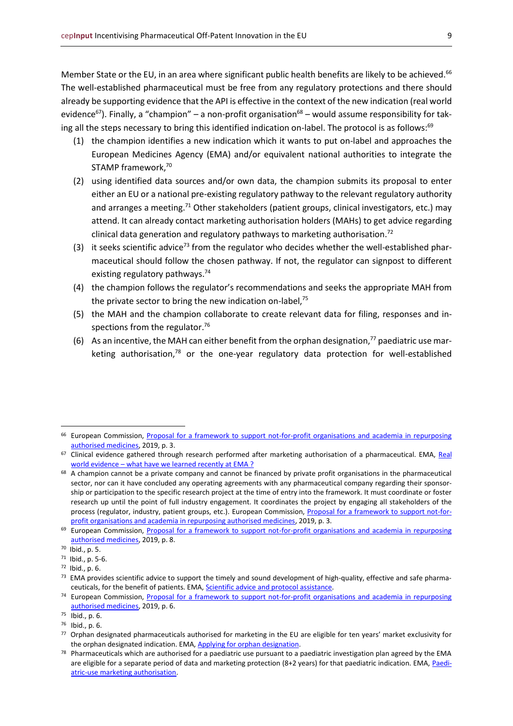Member State or the EU, in an area where significant public health benefits are likely to be achieved.<sup>66</sup> The well-established pharmaceutical must be free from any regulatory protections and there should already be supporting evidence that the API is effective in the context of the new indication (real world evidence<sup>67</sup>). Finally, a "champion" – a non-profit organisation<sup>68</sup> – would assume responsibility for taking all the steps necessary to bring this identified indication on-label. The protocol is as follows:<sup>69</sup>

- (1) the champion identifies a new indication which it wants to put on-label and approaches the European Medicines Agency (EMA) and/or equivalent national authorities to integrate the STAMP framework, 70
- (2) using identified data sources and/or own data, the champion submits its proposal to enter either an EU or a national pre-existing regulatory pathway to the relevant regulatory authority and arranges a meeting.<sup>71</sup> Other stakeholders (patient groups, clinical investigators, etc.) may attend. It can already contact marketing authorisation holders (MAHs) to get advice regarding clinical data generation and regulatory pathways to marketing authorisation.<sup>72</sup>
- (3) it seeks scientific advice<sup>73</sup> from the regulator who decides whether the well-established pharmaceutical should follow the chosen pathway. If not, the regulator can signpost to different existing regulatory pathways. 74
- (4) the champion follows the regulator's recommendations and seeks the appropriate MAH from the private sector to bring the new indication on-label, $75$
- (5) the MAH and the champion collaborate to create relevant data for filing, responses and inspections from the regulator.<sup>76</sup>
- (6) As an incentive, the MAH can either benefit from the orphan designation, $77$  paediatric use marketing authorisation,<sup>78</sup> or the one-year regulatory data protection for well-established

<sup>66</sup> European Commission, [Proposal for a framework to support not-for-profit organisations and academia in repurposing](https://ec.europa.eu/health/sites/default/files/files/committee/pharm773_repurposing_annex_en.pdf)  [authorised medicines,](https://ec.europa.eu/health/sites/default/files/files/committee/pharm773_repurposing_annex_en.pdf) 2019, p. 3.

<sup>&</sup>lt;sup>67</sup> Clinical evidence gathered through research performed after marketing authorisation of a pharmaceutical. EMA, Real world evidence – [what have we learned recently at EMA](https://www.ema.europa.eu/en/documents/presentation/presentation-real-world-evidence-rwe-what-have-we-learned-recently-ema-emas-pcwp-hcpwp-joint-meeting_en.pdf) ?

<sup>&</sup>lt;sup>68</sup> A champion cannot be a private company and cannot be financed by private profit organisations in the pharmaceutical sector, nor can it have concluded any operating agreements with any pharmaceutical company regarding their sponsorship or participation to the specific research project at the time of entry into the framework. It must coordinate or foster research up until the point of full industry engagement. It coordinates the project by engaging all stakeholders of the process (regulator, industry, patient groups, etc.). European Commission, [Proposal for a framework to support not-for](https://ec.europa.eu/health/sites/default/files/files/committee/pharm773_repurposing_annex_en.pdf)[profit organisations and academia in repurposing authorised medicines,](https://ec.europa.eu/health/sites/default/files/files/committee/pharm773_repurposing_annex_en.pdf) 2019, p. 3.

<sup>&</sup>lt;sup>69</sup> European Commission, Proposal for a framework to support not-for-profit organisations and academia in repurposing [authorised medicines,](https://ec.europa.eu/health/sites/default/files/files/committee/pharm773_repurposing_annex_en.pdf) 2019, p. 8.

<sup>70</sup> Ibid., p. 5.

<sup>71</sup> Ibid., p. 5-6.

<sup>72</sup> Ibid., p. 6.

<sup>&</sup>lt;sup>73</sup> EMA provides scientific advice to support the timely and sound development of high-quality, effective and safe pharmaceuticals, for the benefit of patients. EMA, **Scientific advice and protocol assistance**.

<sup>&</sup>lt;sup>74</sup> European Commission, Proposal for a framework to support not-for-profit organisations and academia in repurposing [authorised medicines,](https://ec.europa.eu/health/sites/default/files/files/committee/pharm773_repurposing_annex_en.pdf) 2019, p. 6.

<sup>75</sup> Ibid., p. 6.

<sup>76</sup> Ibid., p. 6.

<sup>77</sup> Orphan designated pharmaceuticals authorised for marketing in the EU are eligible for ten years' market exclusivity for the orphan designated indication. EMA[, Applying for orphan designation.](https://www.ema.europa.eu/en/human-regulatory/research-development/orphan-designation/applying-orphan-designation)

 $78$  Pharmaceuticals which are authorised for a paediatric use pursuant to a paediatric investigation plan agreed by the EMA are eligible for a separate period of data and marketing protection (8+2 years) for that paediatric indication. EMA[, Paedi](https://www.ema.europa.eu/en/human-regulatory/marketing-authorisation/paediatric-medicines/paediatric-use-marketing-authorisations)[atric-use marketing authorisation.](https://www.ema.europa.eu/en/human-regulatory/marketing-authorisation/paediatric-medicines/paediatric-use-marketing-authorisations)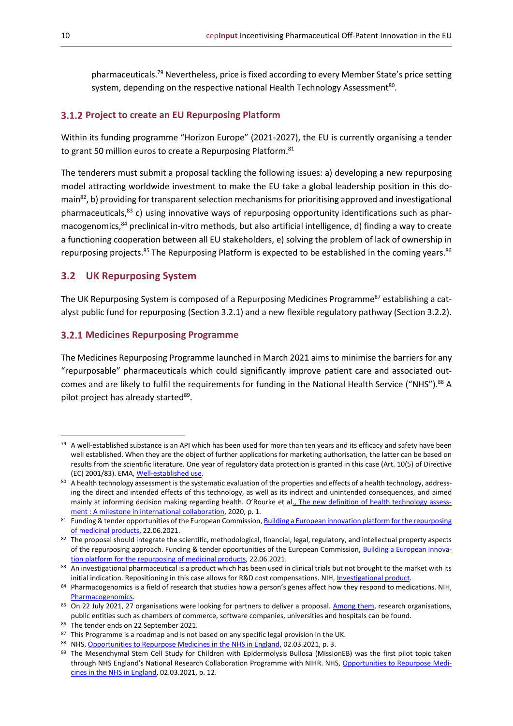pharmaceuticals.<sup>79</sup> Nevertheless, price is fixed according to every Member State's price setting system, depending on the respective national Health Technology Assessment<sup>80</sup>.

#### <span id="page-9-0"></span>**Project to create an EU Repurposing Platform**

Within its funding programme "Horizon Europe" (2021-2027), the EU is currently organising a tender to grant 50 million euros to create a Repurposing Platform.<sup>81</sup>

The tenderers must submit a proposal tackling the following issues: a) developing a new repurposing model attracting worldwide investment to make the EU take a global leadership position in this domain<sup>82</sup>, b) providing for transparent selection mechanisms for prioritising approved and investigational pharmaceuticals,<sup>83</sup> c) using innovative ways of repurposing opportunity identifications such as pharmacogenomics, <sup>84</sup> preclinical in-vitro methods, but also artificial intelligence, d) finding a way to create a functioning cooperation between all EU stakeholders, e) solving the problem of lack of ownership in repurposing projects.<sup>85</sup> The Repurposing Platform is expected to be established in the coming years.<sup>86</sup>

#### <span id="page-9-1"></span>**3.2 UK Repurposing System**

The UK Repurposing System is composed of a Repurposing Medicines Programme<sup>87</sup> establishing a catalyst public fund for repurposing (Section 3.2.1) and a new flexible regulatory pathway (Section 3.2.2).

#### <span id="page-9-2"></span>**Medicines Repurposing Programme**

The Medicines Repurposing Programme launched in March 2021 aims to minimise the barriers for any "repurposable" pharmaceuticals which could significantly improve patient care and associated outcomes and are likely to fulfil the requirements for funding in the National Health Service ("NHS").<sup>88</sup> A pilot project has already started<sup>89</sup>.

 $79$  A well-established substance is an API which has been used for more than ten years and its efficacy and safety have been well established. When they are the object of further applications for marketing authorisation, the latter can be based on results from the scientific literature. One year of regulatory data protection is granted in this case (Art. 10(5) of Directive (EC) 2001/83). EMA[, Well-established use.](https://www.ema.europa.eu/en/glossary/well-established-use)

<sup>80</sup> A health technology assessment is the systematic evaluation of the properties and effects of a health technology, addressing the direct and intended effects of this technology, as well as its indirect and unintended consequences, and aimed mainly at informing decision making regarding health. O'Rourke et al[., The new definition of health technology assess](https://pubmed.ncbi.nlm.nih.gov/32398176/)ment [: A milestone in international collaboration,](https://pubmed.ncbi.nlm.nih.gov/32398176/) 2020, p. 1.

<sup>&</sup>lt;sup>81</sup> Funding & tender opportunities of the European Commission, <u>Building a European innovation platform for the repurposing</u> [of medicinal products,](https://ec.europa.eu/info/funding-tenders/opportunities/portal/screen/opportunities/topic-details/horizon-hlth-2021-disease-04-02) 22.06.2021.

 $82$  The proposal should integrate the scientific, methodological, financial, legal, regulatory, and intellectual property aspects of the repurposing approach. Funding & tender opportunities of the European Commission, [Building a European innova](https://ec.europa.eu/info/funding-tenders/opportunities/portal/screen/opportunities/topic-details/horizon-hlth-2021-disease-04-02)[tion platform for the repurposing of medicinal products,](https://ec.europa.eu/info/funding-tenders/opportunities/portal/screen/opportunities/topic-details/horizon-hlth-2021-disease-04-02) 22.06.2021.

 $83$  An investigational pharmaceutical is a product which has been used in clinical trials but not brought to the market with its initial indication. Repositioning in this case allows for R&D cost compensations. NIH, [Investigational product.](https://www.niaid.nih.gov/research/dmid-investigational-product#:~:text=An%20investigational%20product%20may%20be,information%20about%20an%20approved%20use.)

<sup>84</sup> Pharmacogenomics is a field of research that studies how a person's genes affect how they respond to medications. NIH, [Pharmacogenomics.](https://www.nigms.nih.gov/education/fact-sheets/Pages/pharmacogenomics.aspx*)

<sup>&</sup>lt;sup>85</sup> On 22 July 2021, 27 organisations were looking for partners to deliver a proposal. [Among them,](https://ec.europa.eu/info/funding-tenders/opportunities/portal/screen/how-to-participate/interested-org-list/43971095) research organisations, public entities such as chambers of commerce, software companies, universities and hospitals can be found.

<sup>86</sup> The tender ends on 22 September 2021.

<sup>87</sup> This Programme is a roadmap and is not based on any specific legal provision in the UK.

<sup>88</sup> NHS[, Opportunities to Repurpose Medicines in the NHS in England,](https://www.england.nhs.uk/wp-content/uploads/2021/03/B0342-oportunities-to-repurpose-medicines-in-the-nhs-in-england.pdf) 02.03.2021, p. 3.

<sup>89</sup> The Mesenchymal Stem Cell Study for Children with Epidermolysis Bullosa (MissionEB) was the first pilot topic taken through NHS England's National Research Collaboration Programme with NIHR. NHS[, Opportunities to Repurpose Medi](https://www.england.nhs.uk/wp-content/uploads/2021/03/B0342-oportunities-to-repurpose-medicines-in-the-nhs-in-england.pdf)[cines in the NHS in England,](https://www.england.nhs.uk/wp-content/uploads/2021/03/B0342-oportunities-to-repurpose-medicines-in-the-nhs-in-england.pdf) 02.03.2021, p. 12.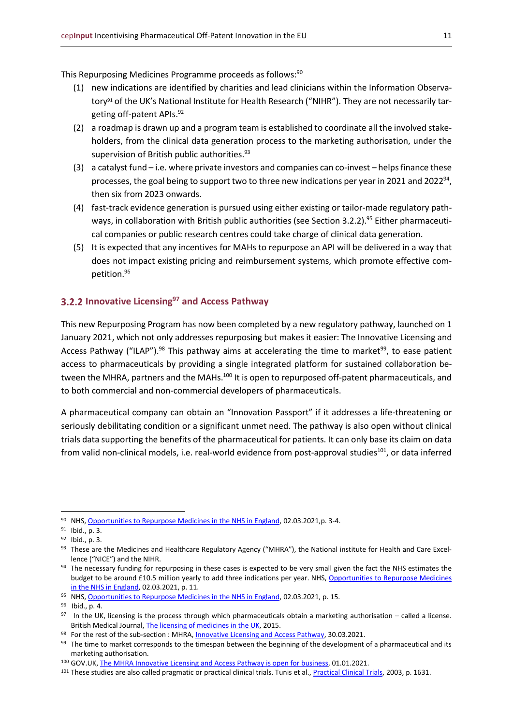This Repurposing Medicines Programme proceeds as follows: 90

- (1) new indications are identified by charities and lead clinicians within the Information Observatory<sup>91</sup> of the UK's National Institute for Health Research ("NIHR"). They are not necessarily targeting off-patent APIs. 92
- (2) a roadmap is drawn up and a program team is established to coordinate all the involved stakeholders, from the clinical data generation process to the marketing authorisation, under the supervision of British public authorities. 93
- (3) a catalyst fund  $-$  i.e. where private investors and companies can co-invest  $-$  helps finance these processes, the goal being to support two to three new indications per year in 2021 and 2022<sup>94</sup>, then six from 2023 onwards.
- (4) fast-track evidence generation is pursued using either existing or tailor-made regulatory pathways, in collaboration with British public authorities (see Section 3.2.2).<sup>95</sup> Either pharmaceutical companies or public research centres could take charge of clinical data generation.
- (5) It is expected that any incentives for MAHs to repurpose an API will be delivered in a way that does not impact existing pricing and reimbursement systems, which promote effective competition.<sup>96</sup>

#### <span id="page-10-0"></span>**Innovative Licensing<sup>97</sup> and Access Pathway**

This new Repurposing Program has now been completed by a new regulatory pathway, launched on 1 January 2021, which not only addresses repurposing but makes it easier: The Innovative Licensing and Access Pathway ("ILAP").<sup>98</sup> This pathway aims at accelerating the time to market<sup>99</sup>, to ease patient access to pharmaceuticals by providing a single integrated platform for sustained collaboration between the MHRA, partners and the MAHs.<sup>100</sup> It is open to repurposed off-patent pharmaceuticals, and to both commercial and non-commercial developers of pharmaceuticals.

A pharmaceutical company can obtain an "Innovation Passport" if it addresses a life-threatening or seriously debilitating condition or a significant unmet need. The pathway is also open without clinical trials data supporting the benefits of the pharmaceutical for patients. It can only base its claim on data from valid non-clinical models, i.e. real-world evidence from post-approval studies<sup>101</sup>, or data inferred

<sup>&</sup>lt;sup>90</sup> NHS[, Opportunities to Repurpose Medicines in the NHS in England,](https://www.england.nhs.uk/wp-content/uploads/2021/03/B0342-oportunities-to-repurpose-medicines-in-the-nhs-in-england.pdf) 02.03.2021,p. 3-4.

<sup>&</sup>lt;sup>91</sup> Ibid., p. 3.

<sup>92</sup> Ibid., p. 3.

<sup>&</sup>lt;sup>93</sup> These are the Medicines and Healthcare Regulatory Agency ("MHRA"), the National institute for Health and Care Excellence ("NICE") and the NIHR.

<sup>&</sup>lt;sup>94</sup> The necessary funding for repurposing in these cases is expected to be very small given the fact the NHS estimates the budget to be around £10.5 million yearly to add three indications per year. NHS, Opportunities to Repurpose Medicines [in the NHS in England,](https://www.england.nhs.uk/wp-content/uploads/2021/03/B0342-oportunities-to-repurpose-medicines-in-the-nhs-in-england.pdf) 02.03.2021, p. 11.

<sup>&</sup>lt;sup>95</sup> NHS[, Opportunities to Repurpose Medicines in the NHS in England,](https://www.england.nhs.uk/wp-content/uploads/2021/03/B0342-oportunities-to-repurpose-medicines-in-the-nhs-in-england.pdf) 02.03.2021, p. 15.

<sup>96</sup> Ibid., p. 4.

 $97$  In the UK, licensing is the process through which pharmaceuticals obtain a marketing authorisation – called a license. British Medical Journal, [The licensing of medicines in the UK,](https://dtb.bmj.com/content/47/4/45) 2015.

<sup>&</sup>lt;sup>98</sup> For the rest of the sub-section : MHRA, <u>Innovative Licensing and Access Pathway</u>, 30.03.2021.

<sup>&</sup>lt;sup>99</sup> The time to market corresponds to the timespan between the beginning of the development of a pharmaceutical and its marketing authorisation.

<sup>100</sup> GOV.UK[, The MHRA Innovative Licensing and Access Pathway is open for business,](https://www.gov.uk/government/news/the-mhra-innovative-licensing-and-access-pathway-is-open-for-business) 01.01.2021.

<sup>101</sup> These studies are also called pragmatic or practical clinical trials. Tunis et al.[, Practical Clinical Trials,](https://jamanetwork.com/journals/jama/article-abstract/197353) 2003, p. 1631.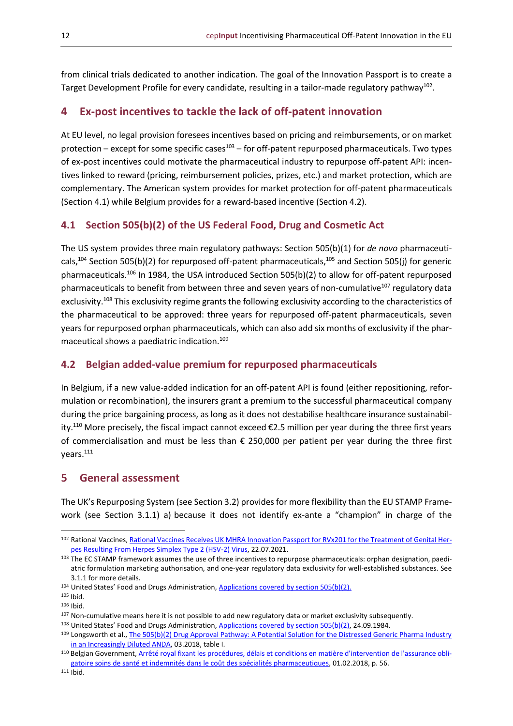from clinical trials dedicated to another indication. The goal of the Innovation Passport is to create a Target Development Profile for every candidate, resulting in a tailor-made regulatory pathway<sup>102</sup>.

#### <span id="page-11-0"></span>**4 Ex-post incentives to tackle the lack of off-patent innovation**

At EU level, no legal provision foresees incentives based on pricing and reimbursements, or on market protection – except for some specific cases $^{103}$  – for off-patent repurposed pharmaceuticals. Two types of ex-post incentives could motivate the pharmaceutical industry to repurpose off-patent API: incentives linked to reward (pricing, reimbursement policies, prizes, etc.) and market protection, which are complementary. The American system provides for market protection for off-patent pharmaceuticals (Section 4.1) while Belgium provides for a reward-based incentive (Section 4.2).

#### <span id="page-11-1"></span>**4.1 Section 505(b)(2) of the US Federal Food, Drug and Cosmetic Act**

The US system provides three main regulatory pathways: Section 505(b)(1) for *de novo* pharmaceuticals,<sup>104</sup> Section 505(b)(2) for repurposed off-patent pharmaceuticals,<sup>105</sup> and Section 505(j) for generic pharmaceuticals.<sup>106</sup> In 1984, the USA introduced Section 505(b)(2) to allow for off-patent repurposed pharmaceuticals to benefit from between three and seven years of non-cumulative<sup>107</sup> regulatory data exclusivity.<sup>108</sup> This exclusivity regime grants the following exclusivity according to the characteristics of the pharmaceutical to be approved: three years for repurposed off-patent pharmaceuticals, seven years for repurposed orphan pharmaceuticals, which can also add six months of exclusivity if the pharmaceutical shows a paediatric indication.<sup>109</sup>

#### <span id="page-11-2"></span>**4.2 Belgian added-value premium for repurposed pharmaceuticals**

In Belgium, if a new value-added indication for an off-patent API is found (either repositioning, reformulation or recombination), the insurers grant a premium to the successful pharmaceutical company during the price bargaining process, as long as it does not destabilise healthcare insurance sustainability.<sup>110</sup> More precisely, the fiscal impact cannot exceed  $\epsilon$ 2.5 million per year during the three first years of commercialisation and must be less than € 250,000 per patient per year during the three first years.<sup>111</sup>

#### <span id="page-11-3"></span>**5 General assessment**

The UK's Repurposing System (see Section 3.2) provides for more flexibility than the EU STAMP Framework (see Section 3.1.1) a) because it does not identify ex-ante a "champion" in charge of the

<sup>102</sup> Rational Vaccines[, Rational Vaccines Receives UK MHRA Innovation Passport for RVx201 for the Treatment of Genital Her](https://www.prnewswire.com/news-releases/rational-vaccines-receives-uk-mhra-innovation-passport-for-rvx201-for-the-treatment-of-genital-herpes-resulting-from-herpes-simplex-type-2-hsv-2-virus-301338810.html)[pes Resulting From Herpes Simplex Type 2 \(HSV-2\) Virus,](https://www.prnewswire.com/news-releases/rational-vaccines-receives-uk-mhra-innovation-passport-for-rvx201-for-the-treatment-of-genital-herpes-resulting-from-herpes-simplex-type-2-hsv-2-virus-301338810.html) 22.07.2021.

<sup>103</sup> The EC STAMP framework assumes the use of three incentives to repurpose pharmaceuticals: orphan designation, paediatric formulation marketing authorisation, and one-year regulatory data exclusivity for well-established substances. See 3.1.1 for more details.

<sup>104</sup> United States' Food and Drugs Administration, [Applications covered by section 505\(b\)\(2\).](https://www.fda.gov/regulatory-information/search-fda-guidance-documents/applications-covered-section-505b2)

<sup>105</sup> Ibid.

<sup>106</sup> Ibid.

<sup>107</sup> Non-cumulative means here it is not possible to add new regulatory data or market exclusivity subsequently.

<sup>108</sup> United States' Food and Drugs Administration, [Applications covered by section 505\(b\)\(2\), 24.09.1984.](https://www.fda.gov/regulatory-information/search-fda-guidance-documents/applications-covered-section-505b2)

<sup>109</sup> Longsworth et al., The 505(b)(2) Drug Approval Pathway: A Potential Solution for the Distressed Generic Pharma Industry [in an Increasingly Diluted ANDA,](https://www.sternekessler.com/news-insights/publications/505b2-drug-approval-pathway-potential-solution-distressed-generic-pharma) 03.2018, table I.

<sup>110</sup> Belgian Government, [Arrêté royal fixant les procédures, délais et conditions en matière d'intervention d](https://www.riziv.fgov.be/SiteCollectionDocuments/specialites_pharmaceutiques_AR_20180201.pdf)e l'assurance obli[gatoire soins de santé et indemnités dans le coût des spécialités pharmaceutiques,](https://www.riziv.fgov.be/SiteCollectionDocuments/specialites_pharmaceutiques_AR_20180201.pdf) 01.02.2018, p. 56.

<sup>111</sup> Ibid.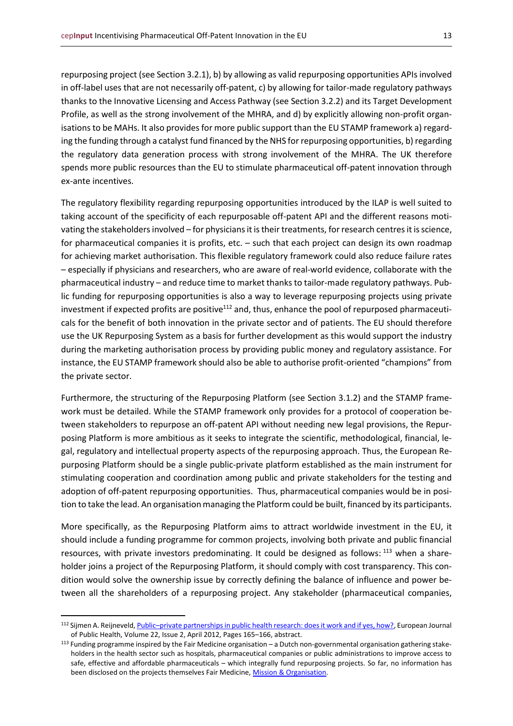repurposing project (see Section 3.2.1), b) by allowing as valid repurposing opportunities APIs involved in off-label uses that are not necessarily off-patent, c) by allowing for tailor-made regulatory pathways thanks to the Innovative Licensing and Access Pathway (see Section 3.2.2) and its Target Development Profile, as well as the strong involvement of the MHRA, and d) by explicitly allowing non-profit organisations to be MAHs. It also provides for more public support than the EU STAMP framework a) regarding the funding through a catalyst fund financed by the NHS for repurposing opportunities, b) regarding the regulatory data generation process with strong involvement of the MHRA. The UK therefore spends more public resources than the EU to stimulate pharmaceutical off-patent innovation through ex-ante incentives.

The regulatory flexibility regarding repurposing opportunities introduced by the ILAP is well suited to taking account of the specificity of each repurposable off-patent API and the different reasons motivating the stakeholders involved – for physicians it is their treatments, for research centres it is science, for pharmaceutical companies it is profits, etc. – such that each project can design its own roadmap for achieving market authorisation. This flexible regulatory framework could also reduce failure rates – especially if physicians and researchers, who are aware of real-world evidence, collaborate with the pharmaceutical industry – and reduce time to market thanks to tailor-made regulatory pathways. Public funding for repurposing opportunities is also a way to leverage repurposing projects using private investment if expected profits are positive<sup>112</sup> and, thus, enhance the pool of repurposed pharmaceuticals for the benefit of both innovation in the private sector and of patients. The EU should therefore use the UK Repurposing System as a basis for further development as this would support the industry during the marketing authorisation process by providing public money and regulatory assistance. For instance, the EU STAMP framework should also be able to authorise profit-oriented "champions" from the private sector.

Furthermore, the structuring of the Repurposing Platform (see Section 3.1.2) and the STAMP framework must be detailed. While the STAMP framework only provides for a protocol of cooperation between stakeholders to repurpose an off-patent API without needing new legal provisions, the Repurposing Platform is more ambitious as it seeks to integrate the scientific, methodological, financial, legal, regulatory and intellectual property aspects of the repurposing approach. Thus, the European Repurposing Platform should be a single public-private platform established as the main instrument for stimulating cooperation and coordination among public and private stakeholders for the testing and adoption of off-patent repurposing opportunities. Thus, pharmaceutical companies would be in position to take the lead. An organisation managing the Platform could be built, financed by its participants.

More specifically, as the Repurposing Platform aims to attract worldwide investment in the EU, it should include a funding programme for common projects, involving both private and public financial resources, with private investors predominating. It could be designed as follows: <sup>113</sup> when a shareholder joins a project of the Repurposing Platform, it should comply with cost transparency. This condition would solve the ownership issue by correctly defining the balance of influence and power between all the shareholders of a repurposing project. Any stakeholder (pharmaceutical companies,

<sup>112</sup> Sijmen A. Reijneveld, Public-[private partnerships in public health research: does it work and if yes, how?,](https://academic.oup.com/eurpub/article/22/2/165/513709?login=true) European Journal of Public Health, Volume 22, Issue 2, April 2012, Pages 165–166, abstract.

 $113$  Funding programme inspired by the Fair Medicine organisation – a Dutch non-governmental organisation gathering stakeholders in the health sector such as hospitals, pharmaceutical companies or public administrations to improve access to safe, effective and affordable pharmaceuticals – which integrally fund repurposing projects. So far, no information has been disclosed on the projects themselves Fair Medicine[, Mission & Organisation.](https://www.fairmedicine.eu/en/about-fairmedicine/mission-organization/)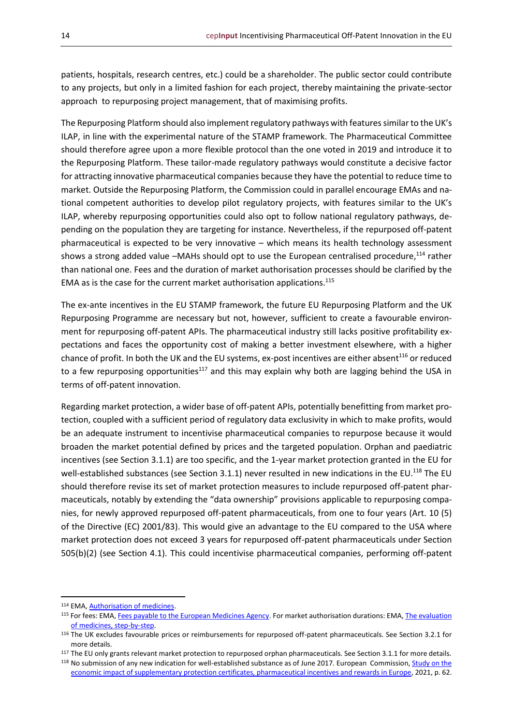patients, hospitals, research centres, etc.) could be a shareholder. The public sector could contribute to any projects, but only in a limited fashion for each project, thereby maintaining the private-sector approach to repurposing project management, that of maximising profits.

The Repurposing Platform should also implement regulatory pathways with features similar to the UK's ILAP, in line with the experimental nature of the STAMP framework. The Pharmaceutical Committee should therefore agree upon a more flexible protocol than the one voted in 2019 and introduce it to the Repurposing Platform. These tailor-made regulatory pathways would constitute a decisive factor for attracting innovative pharmaceutical companies because they have the potential to reduce time to market. Outside the Repurposing Platform, the Commission could in parallel encourage EMAs and national competent authorities to develop pilot regulatory projects, with features similar to the UK's ILAP, whereby repurposing opportunities could also opt to follow national regulatory pathways, depending on the population they are targeting for instance. Nevertheless, if the repurposed off-patent pharmaceutical is expected to be very innovative – which means its health technology assessment shows a strong added value –MAHs should opt to use the European centralised procedure,<sup>114</sup> rather than national one. Fees and the duration of market authorisation processes should be clarified by the EMA as is the case for the current market authorisation applications.<sup>115</sup>

The ex-ante incentives in the EU STAMP framework, the future EU Repurposing Platform and the UK Repurposing Programme are necessary but not, however, sufficient to create a favourable environment for repurposing off-patent APIs. The pharmaceutical industry still lacks positive profitability expectations and faces the opportunity cost of making a better investment elsewhere, with a higher chance of profit. In both the UK and the EU systems, ex-post incentives are either absent<sup>116</sup> or reduced to a few repurposing opportunities<sup>117</sup> and this may explain why both are lagging behind the USA in terms of off-patent innovation.

Regarding market protection, a wider base of off-patent APIs, potentially benefitting from market protection, coupled with a sufficient period of regulatory data exclusivity in which to make profits, would be an adequate instrument to incentivise pharmaceutical companies to repurpose because it would broaden the market potential defined by prices and the targeted population. Orphan and paediatric incentives (see Section 3.1.1) are too specific, and the 1-year market protection granted in the EU for well-established substances (see Section 3.1.1) never resulted in new indications in the EU.<sup>118</sup> The EU should therefore revise its set of market protection measures to include repurposed off-patent pharmaceuticals, notably by extending the "data ownership" provisions applicable to repurposing companies, for newly approved repurposed off-patent pharmaceuticals, from one to four years (Art. 10 (5) of the Directive (EC) 2001/83). This would give an advantage to the EU compared to the USA where market protection does not exceed 3 years for repurposed off-patent pharmaceuticals under Section 505(b)(2) (see Section 4.1). This could incentivise pharmaceutical companies, performing off-patent

<sup>114</sup> EMA, **Authorisation of medicines**.

<sup>115</sup> For fees: EMA[, Fees payable to the European Medicines Agency.](https://www.ema.europa.eu/en/human-regulatory/overview/fees-payable-european-medicines-agency) For market authorisation durations: EMA, The evaluation [of medicines, step-by-step.](https://www.ema.europa.eu/en/human-regulatory/marketing-authorisation/evaluation-medicines-step-step)

<sup>116</sup> The UK excludes favourable prices or reimbursements for repurposed off-patent pharmaceuticals. See Section 3.2.1 for more details.

<sup>&</sup>lt;sup>117</sup> The EU only grants relevant market protection to repurposed orphan pharmaceuticals. See Section 3.1.1 for more details.

<sup>118</sup> No submission of any new indication for well-established substance as of June 2017. European Commission, Study on the [economic impact of supplementary protection certificates, pharmaceutical incentives and rewards in Europe,](https://ec.europa.eu/health/sites/default/files/human-use/docs/pharmaceuticals_incentives_study_en.pdf) 2021, p. 62.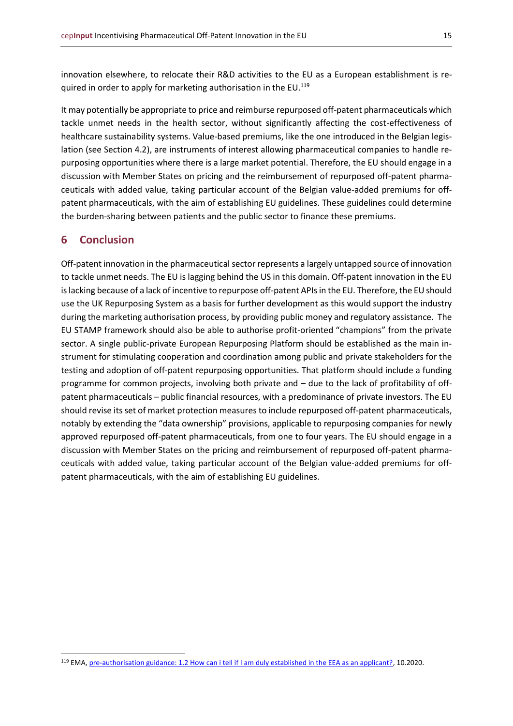innovation elsewhere, to relocate their R&D activities to the EU as a European establishment is required in order to apply for marketing authorisation in the EU.<sup>119</sup>

It may potentially be appropriate to price and reimburse repurposed off-patent pharmaceuticals which tackle unmet needs in the health sector, without significantly affecting the cost-effectiveness of healthcare sustainability systems. Value-based premiums, like the one introduced in the Belgian legislation (see Section 4.2), are instruments of interest allowing pharmaceutical companies to handle repurposing opportunities where there is a large market potential. Therefore, the EU should engage in a discussion with Member States on pricing and the reimbursement of repurposed off-patent pharmaceuticals with added value, taking particular account of the Belgian value-added premiums for offpatent pharmaceuticals, with the aim of establishing EU guidelines. These guidelines could determine the burden-sharing between patients and the public sector to finance these premiums.

#### <span id="page-14-0"></span>**6 Conclusion**

Off-patent innovation in the pharmaceutical sector represents a largely untapped source of innovation to tackle unmet needs. The EU is lagging behind the US in this domain. Off-patent innovation in the EU is lacking because of a lack of incentive to repurpose off-patent APIsin the EU. Therefore, the EU should use the UK Repurposing System as a basis for further development as this would support the industry during the marketing authorisation process, by providing public money and regulatory assistance. The EU STAMP framework should also be able to authorise profit-oriented "champions" from the private sector. A single public-private European Repurposing Platform should be established as the main instrument for stimulating cooperation and coordination among public and private stakeholders for the testing and adoption of off-patent repurposing opportunities. That platform should include a funding programme for common projects, involving both private and – due to the lack of profitability of offpatent pharmaceuticals – public financial resources, with a predominance of private investors. The EU should revise its set of market protection measures to include repurposed off-patent pharmaceuticals, notably by extending the "data ownership" provisions, applicable to repurposing companies for newly approved repurposed off-patent pharmaceuticals, from one to four years. The EU should engage in a discussion with Member States on the pricing and reimbursement of repurposed off-patent pharmaceuticals with added value, taking particular account of the Belgian value-added premiums for offpatent pharmaceuticals, with the aim of establishing EU guidelines.

<sup>119</sup> EMA, [pre-authorisation guidance: 1.2 How can i tell if I am duly established in the EEA as an applicant?,](https://www.ema.europa.eu/en/human-regulatory/marketing-authorisation/pre-authorisation-guidance) 10.2020.